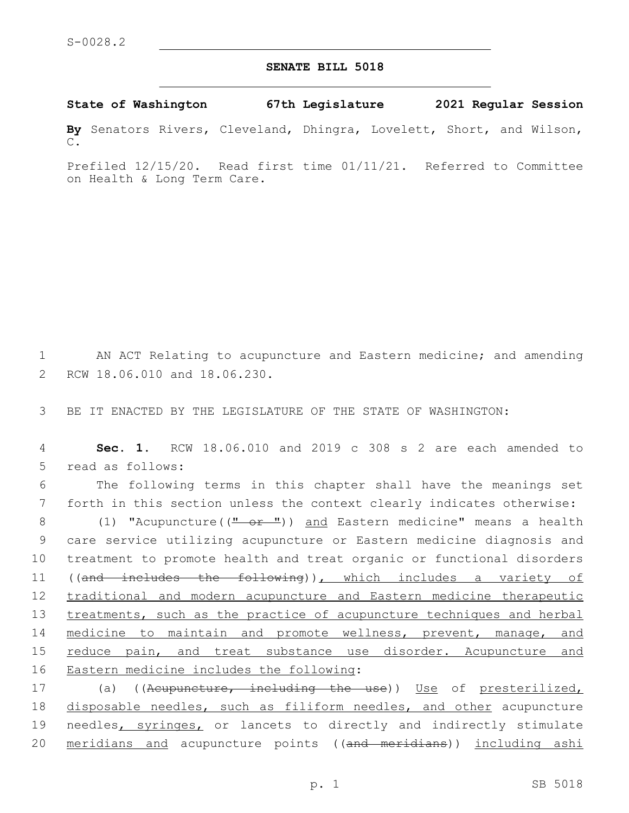## **SENATE BILL 5018**

**State of Washington 67th Legislature 2021 Regular Session**

**By** Senators Rivers, Cleveland, Dhingra, Lovelett, Short, and Wilson, C.

Prefiled 12/15/20. Read first time 01/11/21. Referred to Committee on Health & Long Term Care.

1 AN ACT Relating to acupuncture and Eastern medicine; and amending 2 RCW 18.06.010 and 18.06.230.

3 BE IT ENACTED BY THE LEGISLATURE OF THE STATE OF WASHINGTON:

4 **Sec. 1.** RCW 18.06.010 and 2019 c 308 s 2 are each amended to 5 read as follows:

6 The following terms in this chapter shall have the meanings set 7 forth in this section unless the context clearly indicates otherwise:

8 (1) "Acupuncture((" or ")) and Eastern medicine" means a health 9 care service utilizing acupuncture or Eastern medicine diagnosis and 10 treatment to promote health and treat organic or functional disorders 11 ((and includes the following)), which includes a variety of 12 traditional and modern acupuncture and Eastern medicine therapeutic 13 treatments, such as the practice of acupuncture techniques and herbal 14 medicine to maintain and promote wellness, prevent, manage, and 15 reduce pain, and treat substance use disorder. Acupuncture and 16 Eastern medicine includes the following:

17 (a) ((Acupuncture, including the use)) Use of presterilized, 18 disposable needles, such as filiform needles, and other acupuncture 19 needles, syringes, or lancets to directly and indirectly stimulate 20 meridians and acupuncture points ((and meridians)) including ashi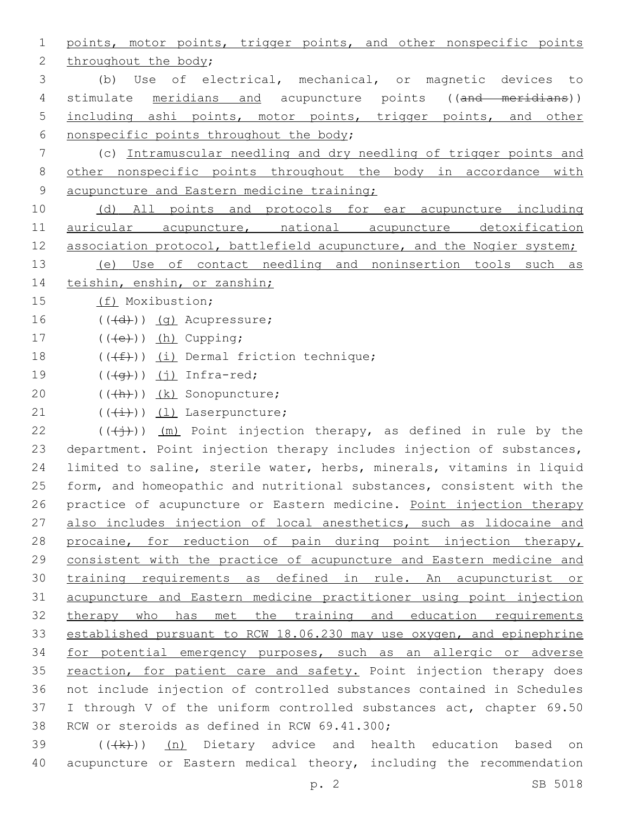1 points, motor points, trigger points, and other nonspecific points 2 throughout the body; 3 (b) Use of electrical, mechanical, or magnetic devices to 4 stimulate meridians and acupuncture points ((and meridians)) 5 including ashi points, motor points, trigger points, and other 6 nonspecific points throughout the body; 7 (c) Intramuscular needling and dry needling of trigger points and 8 other nonspecific points throughout the body in accordance with 9 acupuncture and Eastern medicine training; 10 (d) All points and protocols for ear acupuncture including 11 auricular acupuncture, national acupuncture detoxification 12 association protocol, battlefield acupuncture, and the Nogier system; 13 (e) Use of contact needling and noninsertion tools such as 14 teishin, enshin, or zanshin; 15 (f) Moxibustion;  $16$   $((\text{+d})^2)(\text{q})$  Acupressure; 17  $((\text{+e})^n)(\text{h})$  Cupping; 18  $((\text{#}))$  (i) Dermal friction technique; 19  $((\overline{q}))(j)$  Infra-red; 20 (((h))) (k) Sonopuncture; 21  $((\overleftrightarrow{t}))$   $(1)$  Laserpuncture; 22 ( $(\overrightarrow{(+)})$ ) (m) Point injection therapy, as defined in rule by the 23 department. Point injection therapy includes injection of substances, 24 limited to saline, sterile water, herbs, minerals, vitamins in liquid 25 form, and homeopathic and nutritional substances, consistent with the 26 practice of acupuncture or Eastern medicine. Point injection therapy 27 also includes injection of local anesthetics, such as lidocaine and 28 procaine, for reduction of pain during point injection therapy, 29 consistent with the practice of acupuncture and Eastern medicine and 30 training requirements as defined in rule. An acupuncturist or 31 acupuncture and Eastern medicine practitioner using point injection 32 therapy who has met the training and education requirements 33 established pursuant to RCW 18.06.230 may use oxygen, and epinephrine 34 for potential emergency purposes, such as an allergic or adverse 35 reaction, for patient care and safety. Point injection therapy does 36 not include injection of controlled substances contained in Schedules 37 I through V of the uniform controlled substances act, chapter 69.50 38 RCW or steroids as defined in RCW 69.41.300;  $39$  ( $(\frac{1}{k})$ ) (n) Dietary advice and health education based on

40 acupuncture or Eastern medical theory, including the recommendation